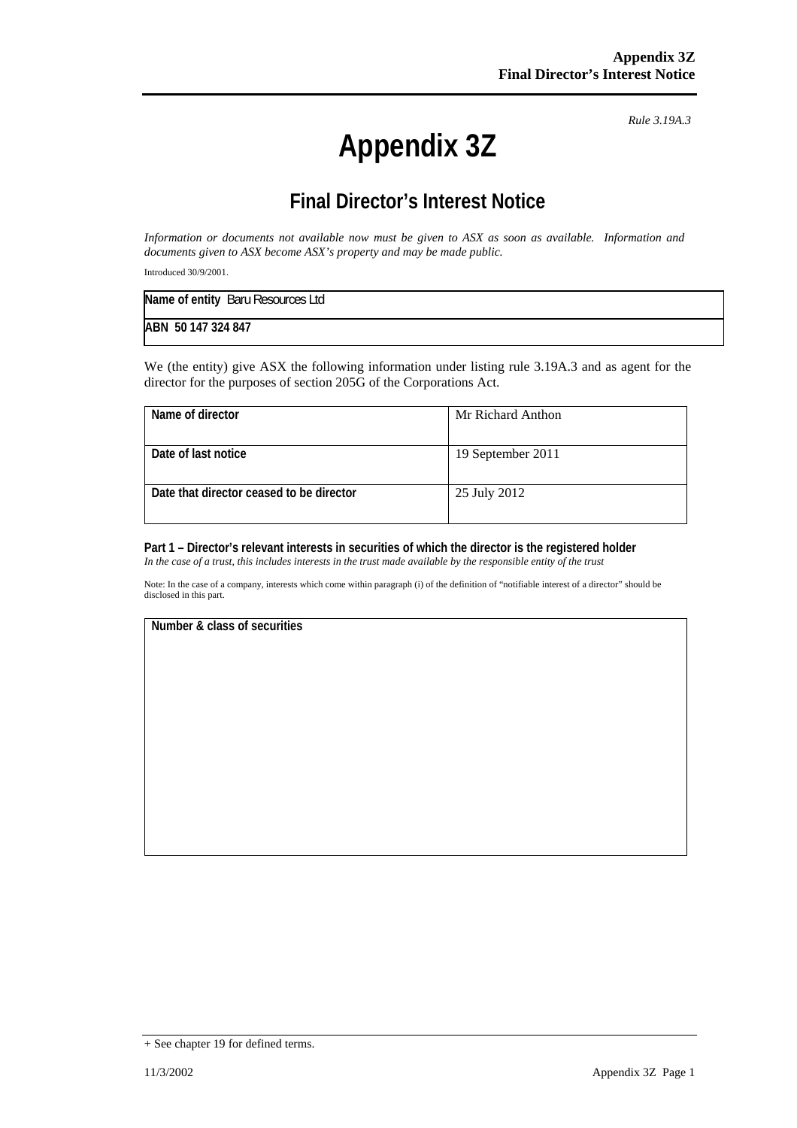# **Appendix 3Z**

*Rule 3.19A.3*

# **Final Director's Interest Notice**

*Information or documents not available now must be given to ASX as soon as available. Information and documents given to ASX become ASX's property and may be made public.* 

Introduced 30/9/2001.

| Name of entity Baru Resources Ltd |  |
|-----------------------------------|--|
| ABN 50 147 324 847                |  |

We (the entity) give ASX the following information under listing rule 3.19A.3 and as agent for the director for the purposes of section 205G of the Corporations Act.

| Name of director                         | Mr Richard Anthon |
|------------------------------------------|-------------------|
| Date of last notice                      | 19 September 2011 |
| Date that director ceased to be director | 25 July 2012      |

## **Part 1 – Director's relevant interests in securities of which the director is the registered holder**

*In the case of a trust, this includes interests in the trust made available by the responsible entity of the trust*

Note: In the case of a company, interests which come within paragraph (i) of the definition of "notifiable interest of a director" should be disclosed in this part.

#### **Number & class of securities**

<sup>+</sup> See chapter 19 for defined terms.